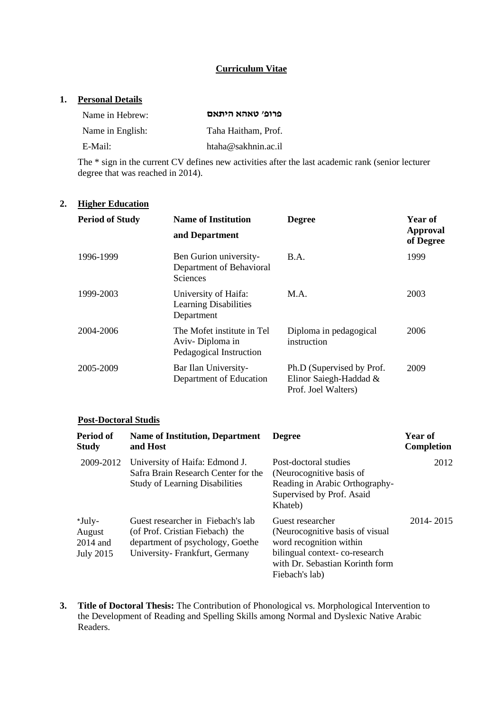#### **Curriculum Vitae**

#### **1. Personal Details**

| Name in Hebrew:  | פרופ׳ טאהא היתאם    |
|------------------|---------------------|
| Name in English: | Taha Haitham, Prof. |
| E-Mail:          | htaha@sakhnin.ac.il |

The \* sign in the current CV defines new activities after the last academic rank (senior lecturer degree that was reached in 2014).

# **2. Higher Education**

| <b>Period of Study</b> | <b>Name of Institution</b>                                               | <b>Degree</b>                                                              | Year of               |  |
|------------------------|--------------------------------------------------------------------------|----------------------------------------------------------------------------|-----------------------|--|
|                        | and Department                                                           |                                                                            | Approval<br>of Degree |  |
| 1996-1999              | Ben Gurion university-<br>Department of Behavioral<br><b>Sciences</b>    | B.A.                                                                       | 1999                  |  |
| 1999-2003              | University of Haifa:<br><b>Learning Disabilities</b><br>Department       | M.A.                                                                       | 2003                  |  |
| 2004-2006              | The Mofet institute in Tel<br>Aviv-Diploma in<br>Pedagogical Instruction | Diploma in pedagogical<br>instruction                                      | 2006                  |  |
| 2005-2009              | Bar Ilan University-<br>Department of Education                          | Ph.D (Supervised by Prof.<br>Elinor Saiegh-Haddad &<br>Prof. Joel Walters) | 2009                  |  |

#### **Post-Doctoral Studis**

| Period of<br><b>Study</b>                          | <b>Name of Institution, Department</b><br>and Host                                                                                        | <b>Degree</b>                                                                                                                                                         | Year of<br><b>Completion</b> |
|----------------------------------------------------|-------------------------------------------------------------------------------------------------------------------------------------------|-----------------------------------------------------------------------------------------------------------------------------------------------------------------------|------------------------------|
| 2009-2012                                          | University of Haifa: Edmond J.<br>Safra Brain Research Center for the<br><b>Study of Learning Disabilities</b>                            | Post-doctoral studies<br>(Neurocognitive basis of<br>Reading in Arabic Orthography-<br>Supervised by Prof. Asaid<br>Khateb)                                           | 2012                         |
| *July-<br>August<br>$2014$ and<br><b>July 2015</b> | Guest researcher in Fiebach's lab<br>(of Prof. Cristian Fiebach) the<br>department of psychology, Goethe<br>University-Frankfurt, Germany | Guest researcher<br>(Neurocognitive basis of visual)<br>word recognition within<br>bilingual context-co-research<br>with Dr. Sebastian Korinth form<br>Fiebach's lab) | 2014-2015                    |

**3. Title of Doctoral Thesis:** The Contribution of Phonological vs. Morphological Intervention to the Development of Reading and Spelling Skills among Normal and Dyslexic Native Arabic Readers.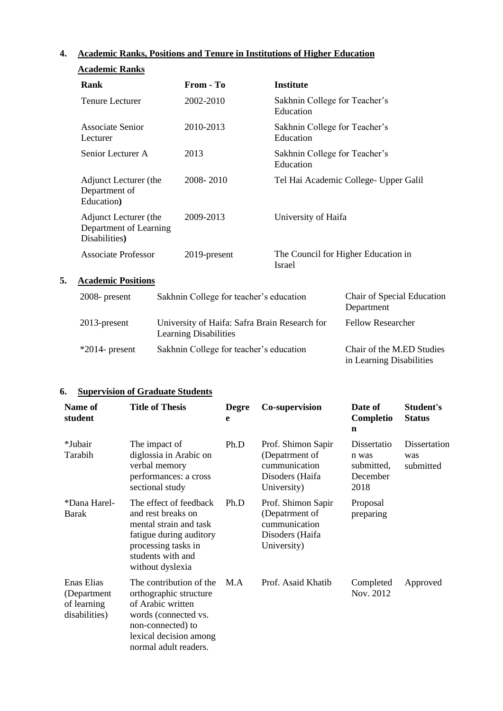# **4. Academic Ranks, Positions and Tenure in Institutions of Higher Education**

| <b>Academic Ranks</b>                                            |              |                                                      |
|------------------------------------------------------------------|--------------|------------------------------------------------------|
| Rank                                                             | From - To    | Institute                                            |
| Tenure Lecturer                                                  | 2002-2010    | Sakhnin College for Teacher's<br>Education           |
| Associate Senior<br>Lecturer                                     | 2010-2013    | Sakhnin College for Teacher's<br>Education           |
| Senior Lecturer A                                                | 2013         | Sakhnin College for Teacher's<br>Education           |
| Adjunct Lecturer (the<br>Department of<br>Education)             | 2008-2010    | Tel Hai Academic College- Upper Galil                |
| Adjunct Lecturer (the<br>Department of Learning<br>Disabilities) | 2009-2013    | University of Haifa                                  |
| Associate Professor                                              | 2019-present | The Council for Higher Education in<br><b>Israel</b> |

# **5. Academic Positions**

| $2008$ - present  | Sakhnin College for teacher's education                                       | Chair of Special Education<br>Department              |
|-------------------|-------------------------------------------------------------------------------|-------------------------------------------------------|
| $2013$ -present   | University of Haifa: Safra Brain Research for<br><b>Learning Disabilities</b> | <b>Fellow Researcher</b>                              |
| $*2014$ - present | Sakhnin College for teacher's education                                       | Chair of the M.ED Studies<br>in Learning Disabilities |

#### **6. Supervision of Graduate Students**

| Name of<br>student                                        | <b>Title of Thesis</b>                                                                                                                                                 | <b>Degre</b><br>e | <b>Co-supervision</b>                                                                   | Date of<br>Completio<br>$\mathbf n$                    | Student's<br><b>Status</b>       |
|-----------------------------------------------------------|------------------------------------------------------------------------------------------------------------------------------------------------------------------------|-------------------|-----------------------------------------------------------------------------------------|--------------------------------------------------------|----------------------------------|
| *Jubair<br>Tarabih                                        | The impact of<br>diglossia in Arabic on<br>verbal memory<br>performances: a cross<br>sectional study                                                                   | Ph.D              | Prof. Shimon Sapir<br>(Depatrment of<br>cummunication<br>Disoders (Haifa<br>University) | Dissertatio<br>n was<br>submitted,<br>December<br>2018 | Dissertation<br>was<br>submitted |
| *Dana Harel-<br>Barak                                     | The effect of feedback<br>and rest breaks on<br>mental strain and task<br>fatigue during auditory<br>processing tasks in<br>students with and<br>without dyslexia      | Ph.D              | Prof. Shimon Sapir<br>(Depatrment of<br>cummunication<br>Disoders (Haifa<br>University) | Proposal<br>preparing                                  |                                  |
| Enas Elias<br>(Department<br>of learning<br>disabilities) | The contribution of the<br>orthographic structure<br>of Arabic written<br>words (connected vs.<br>non-connected) to<br>lexical decision among<br>normal adult readers. | M.A               | Prof. Asaid Khatib                                                                      | Completed<br>Nov. 2012                                 | Approved                         |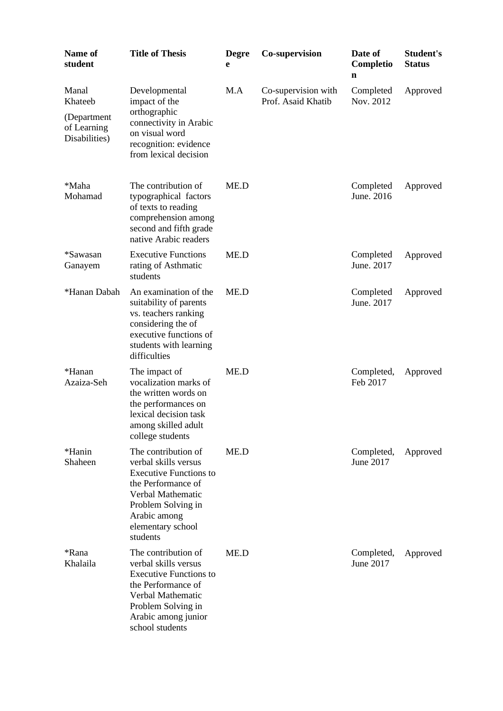| <b>Name of</b><br>student                                       | <b>Title of Thesis</b>                                                                                                                                                                         | <b>Degre</b><br>e | Co-supervision                            | Date of<br>Completio<br>n | Student's<br><b>Status</b> |
|-----------------------------------------------------------------|------------------------------------------------------------------------------------------------------------------------------------------------------------------------------------------------|-------------------|-------------------------------------------|---------------------------|----------------------------|
| Manal<br>Khateeb<br>(Department<br>of Learning<br>Disabilities) | Developmental<br>impact of the<br>orthographic<br>connectivity in Arabic<br>on visual word<br>recognition: evidence<br>from lexical decision                                                   | M.A               | Co-supervision with<br>Prof. Asaid Khatib | Completed<br>Nov. 2012    | Approved                   |
| *Maha<br>Mohamad                                                | The contribution of<br>typographical factors<br>of texts to reading<br>comprehension among<br>second and fifth grade<br>native Arabic readers                                                  | ME.D              |                                           | Completed<br>June. 2016   | Approved                   |
| *Sawasan<br>Ganayem                                             | <b>Executive Functions</b><br>rating of Asthmatic<br>students                                                                                                                                  | ME.D              |                                           | Completed<br>June. 2017   | Approved                   |
| *Hanan Dabah                                                    | An examination of the<br>suitability of parents<br>vs. teachers ranking<br>considering the of<br>executive functions of<br>students with learning<br>difficulties                              | ME.D              |                                           | Completed<br>June. 2017   | Approved                   |
| *Hanan<br>Azaiza-Seh                                            | The impact of<br>vocalization marks of<br>the written words on<br>the performances on<br>lexical decision task<br>among skilled adult<br>college students                                      | ME.D              |                                           | Completed,<br>Feb 2017    | Approved                   |
| *Hanin<br>Shaheen                                               | The contribution of<br>verbal skills versus<br><b>Executive Functions to</b><br>the Performance of<br>Verbal Mathematic<br>Problem Solving in<br>Arabic among<br>elementary school<br>students | ME.D              |                                           | Completed,<br>June 2017   | Approved                   |
| *Rana<br>Khalaila                                               | The contribution of<br>verbal skills versus<br><b>Executive Functions to</b><br>the Performance of<br>Verbal Mathematic<br>Problem Solving in<br>Arabic among junior<br>school students        | ME.D              |                                           | Completed,<br>June 2017   | Approved                   |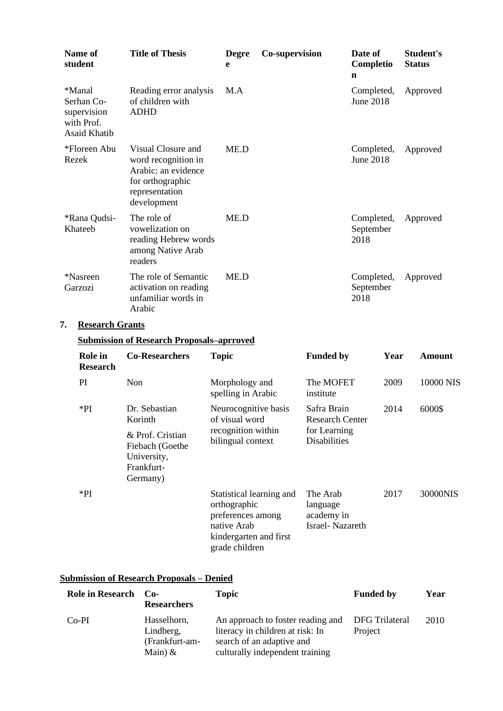|    | Name of<br>student                                                       | <b>Title of Thesis</b>                                                                                                | <b>Degre</b><br>e                                                                                                        | Co-supervision |                                                       | Date of<br>Completio<br>n       |      | Student's<br><b>Status</b> |
|----|--------------------------------------------------------------------------|-----------------------------------------------------------------------------------------------------------------------|--------------------------------------------------------------------------------------------------------------------------|----------------|-------------------------------------------------------|---------------------------------|------|----------------------------|
|    | *Manal<br>Serhan Co-<br>supervision<br>with Prof.<br><b>Asaid Khatib</b> | Reading error analysis<br>of children with<br><b>ADHD</b>                                                             | M.A                                                                                                                      |                |                                                       | Completed,<br><b>June 2018</b>  |      | Approved                   |
|    | *Floreen Abu<br>Rezek                                                    | Visual Closure and<br>word recognition in<br>Arabic: an evidence<br>for orthographic<br>representation<br>development | ME.D                                                                                                                     |                |                                                       | Completed,<br><b>June 2018</b>  |      | Approved                   |
|    | *Rana Qudsi-<br>Khateeb                                                  | The role of<br>vowelization on<br>reading Hebrew words<br>among Native Arab<br>readers                                | ME.D                                                                                                                     |                |                                                       | Completed,<br>September<br>2018 |      | Approved                   |
|    | *Nasreen<br>Garzozi                                                      | The role of Semantic<br>activation on reading<br>unfamiliar words in<br>Arabic                                        | ME.D                                                                                                                     |                |                                                       | Completed,<br>September<br>2018 |      | Approved                   |
| 7. | <b>Research Grants</b>                                                   |                                                                                                                       |                                                                                                                          |                |                                                       |                                 |      |                            |
|    |                                                                          | <b>Submission of Research Proposals-aprroved</b>                                                                      |                                                                                                                          |                |                                                       |                                 |      |                            |
|    | <b>Role</b> in<br><b>Research</b>                                        | <b>Co-Researchers</b>                                                                                                 | <b>Topic</b>                                                                                                             |                | <b>Funded by</b>                                      |                                 | Year | <b>Amount</b>              |
|    | PI                                                                       | Non                                                                                                                   | Morphology and<br>spelling in Arabic                                                                                     |                | The MOFET<br>institute                                |                                 | 2009 | 10000 NIS                  |
|    | $*PI$                                                                    | Dr. Sebastian<br>Korinth                                                                                              | Neurocognitive basis<br>of visual word                                                                                   |                | Safra Brain<br><b>Research Center</b>                 |                                 | 2014 | 6000\$                     |
|    |                                                                          | & Prof. Cristian<br>Fiebach (Goethe<br>University,<br>Frankfurt-<br>Germany)                                          | recognition within<br>bilingual context                                                                                  |                | for Learning<br><b>Disabilities</b>                   |                                 |      |                            |
|    | $*PI$                                                                    |                                                                                                                       | Statistical learning and<br>orthographic<br>preferences among<br>native Arab<br>kindergarten and first<br>grade children |                | The Arab<br>language<br>academy in<br>Israel-Nazareth |                                 | 2017 | 30000NIS                   |

# **Submission of Research Proposals – Denied**

| <b>Role in Research</b> | — Co-<br><b>Researchers</b>                             | <b>Topic</b>                                                                                                                          | <b>Funded by</b>          | Year |
|-------------------------|---------------------------------------------------------|---------------------------------------------------------------------------------------------------------------------------------------|---------------------------|------|
| $Co-PI$                 | Hasselhorn,<br>Lindberg,<br>(Frankfurt-am-<br>Main) $&$ | An approach to foster reading and<br>literacy in children at risk: In<br>search of an adaptive and<br>culturally independent training | DFG Trilateral<br>Project | 2010 |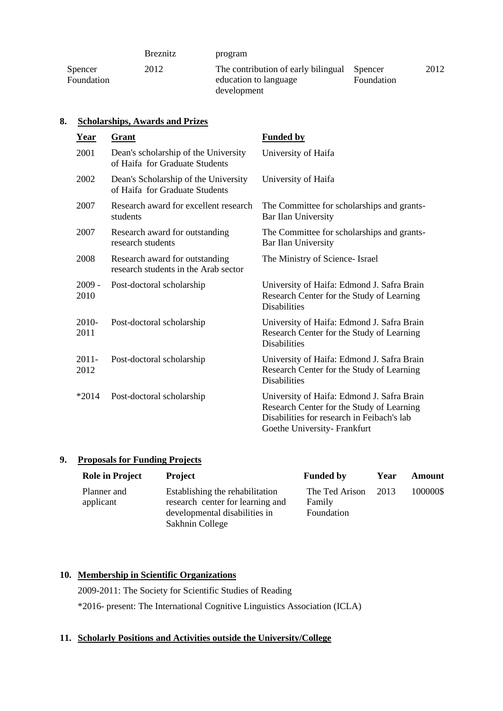|                       | <b>Breznitz</b> | program                                                                             |            |      |
|-----------------------|-----------------|-------------------------------------------------------------------------------------|------------|------|
| Spencer<br>Foundation | 2012            | The contribution of early bilingual Spencer<br>education to language<br>development | Foundation | 2012 |

# **8. Scholarships, Awards and Prizes**

| Year             | Grant                                                                  | <b>Funded by</b>                                                                                                                                                     |
|------------------|------------------------------------------------------------------------|----------------------------------------------------------------------------------------------------------------------------------------------------------------------|
| 2001             | Dean's scholarship of the University<br>of Haifa for Graduate Students | University of Haifa                                                                                                                                                  |
| 2002             | Dean's Scholarship of the University<br>of Haifa for Graduate Students | University of Haifa                                                                                                                                                  |
| 2007             | Research award for excellent research<br>students                      | The Committee for scholarships and grants-<br>Bar Ilan University                                                                                                    |
| 2007             | Research award for outstanding<br>research students                    | The Committee for scholarships and grants-<br>Bar Ilan University                                                                                                    |
| 2008             | Research award for outstanding<br>research students in the Arab sector | The Ministry of Science- Israel                                                                                                                                      |
| $2009 -$<br>2010 | Post-doctoral scholarship                                              | University of Haifa: Edmond J. Safra Brain<br>Research Center for the Study of Learning<br><b>Disabilities</b>                                                       |
| $2010-$<br>2011  | Post-doctoral scholarship                                              | University of Haifa: Edmond J. Safra Brain<br>Research Center for the Study of Learning<br><b>Disabilities</b>                                                       |
| $2011 -$<br>2012 | Post-doctoral scholarship                                              | University of Haifa: Edmond J. Safra Brain<br>Research Center for the Study of Learning<br><b>Disabilities</b>                                                       |
| $*2014$          | Post-doctoral scholarship                                              | University of Haifa: Edmond J. Safra Brain<br>Research Center for the Study of Learning<br>Disabilities for research in Feibach's lab<br>Goethe University-Frankfurt |

# **9. Proposals for Funding Projects**

| <b>Role in Project</b>   | <b>Project</b>                                                                                                          | <b>Funded by</b>                       | Year | Amount   |
|--------------------------|-------------------------------------------------------------------------------------------------------------------------|----------------------------------------|------|----------|
| Planner and<br>applicant | Establishing the rehabilitation<br>research center for learning and<br>developmental disabilities in<br>Sakhnin College | The Ted Arison<br>Family<br>Foundation | 2013 | 100000\$ |

# **10. Membership in Scientific Organizations**

2009-2011: The Society for Scientific Studies of Reading \*2016- present: The International Cognitive Linguistics Association (ICLA)

#### **11. Scholarly Positions and Activities outside the University/College**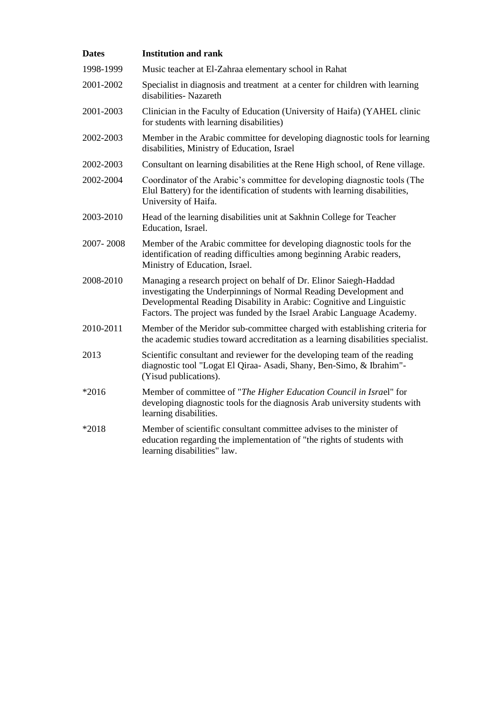| <b>Dates</b> | <b>Institution and rank</b>                                                                                                                                                                                                                                                              |
|--------------|------------------------------------------------------------------------------------------------------------------------------------------------------------------------------------------------------------------------------------------------------------------------------------------|
| 1998-1999    | Music teacher at El-Zahraa elementary school in Rahat                                                                                                                                                                                                                                    |
| 2001-2002    | Specialist in diagnosis and treatment at a center for children with learning<br>disabilities- Nazareth                                                                                                                                                                                   |
| 2001-2003    | Clinician in the Faculty of Education (University of Haifa) (YAHEL clinic<br>for students with learning disabilities)                                                                                                                                                                    |
| 2002-2003    | Member in the Arabic committee for developing diagnostic tools for learning<br>disabilities, Ministry of Education, Israel                                                                                                                                                               |
| 2002-2003    | Consultant on learning disabilities at the Rene High school, of Rene village.                                                                                                                                                                                                            |
| 2002-2004    | Coordinator of the Arabic's committee for developing diagnostic tools (The<br>Elul Battery) for the identification of students with learning disabilities,<br>University of Haifa.                                                                                                       |
| 2003-2010    | Head of the learning disabilities unit at Sakhnin College for Teacher<br>Education, Israel.                                                                                                                                                                                              |
| 2007-2008    | Member of the Arabic committee for developing diagnostic tools for the<br>identification of reading difficulties among beginning Arabic readers,<br>Ministry of Education, Israel.                                                                                                       |
| 2008-2010    | Managing a research project on behalf of Dr. Elinor Saiegh-Haddad<br>investigating the Underpinnings of Normal Reading Development and<br>Developmental Reading Disability in Arabic: Cognitive and Linguistic<br>Factors. The project was funded by the Israel Arabic Language Academy. |
| 2010-2011    | Member of the Meridor sub-committee charged with establishing criteria for<br>the academic studies toward accreditation as a learning disabilities specialist.                                                                                                                           |
| 2013         | Scientific consultant and reviewer for the developing team of the reading<br>diagnostic tool "Logat El Qiraa- Asadi, Shany, Ben-Simo, & Ibrahim"-<br>(Yisud publications).                                                                                                               |
| $*2016$      | Member of committee of "The Higher Education Council in Israel" for<br>developing diagnostic tools for the diagnosis Arab university students with<br>learning disabilities.                                                                                                             |
| *2018        | Member of scientific consultant committee advises to the minister of<br>education regarding the implementation of "the rights of students with<br>learning disabilities" law.                                                                                                            |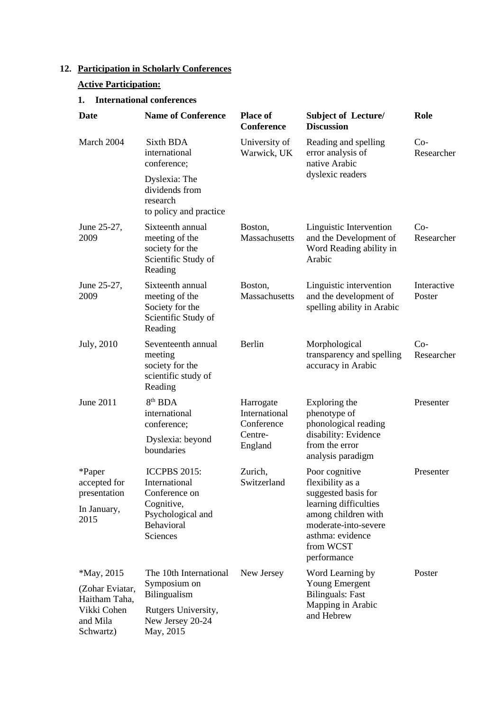# **12. Participation in Scholarly Conferences**

# **Active Participation:**

# **1. International conferences**

| Date                                                          | <b>Name of Conference</b>                                                                                          | <b>Place of</b><br>Conference            | <b>Subject of Lecture/</b><br><b>Discussion</b>                                                                                                                    | Role                  |
|---------------------------------------------------------------|--------------------------------------------------------------------------------------------------------------------|------------------------------------------|--------------------------------------------------------------------------------------------------------------------------------------------------------------------|-----------------------|
| March 2004                                                    | Sixth BDA<br>international<br>conference;                                                                          | University of<br>Warwick, UK             | Reading and spelling<br>error analysis of<br>native Arabic                                                                                                         | $Co-$<br>Researcher   |
|                                                               | Dyslexia: The<br>dividends from<br>research<br>to policy and practice                                              |                                          | dyslexic readers                                                                                                                                                   |                       |
| June 25-27,<br>2009                                           | Sixteenth annual<br>meeting of the<br>society for the<br>Scientific Study of<br>Reading                            | Boston,<br>Massachusetts                 | Linguistic Intervention<br>and the Development of<br>Word Reading ability in<br>Arabic                                                                             | $Co-$<br>Researcher   |
| June 25-27,<br>2009                                           | Sixteenth annual<br>meeting of the<br>Society for the<br>Scientific Study of<br>Reading                            | Boston,<br>Massachusetts                 | Linguistic intervention<br>and the development of<br>spelling ability in Arabic                                                                                    | Interactive<br>Poster |
| July, 2010                                                    | Seventeenth annual<br>meeting<br>society for the<br>scientific study of<br>Reading                                 | Berlin                                   | Morphological<br>transparency and spelling<br>accuracy in Arabic                                                                                                   | $Co-$<br>Researcher   |
| June 2011                                                     | 8 <sup>th</sup> BDA<br>international<br>conference;                                                                | Harrogate<br>International<br>Conference | Exploring the<br>phenotype of<br>phonological reading                                                                                                              | Presenter             |
|                                                               | Dyslexia: beyond<br>boundaries                                                                                     | Centre-<br>England                       | disability: Evidence<br>from the error<br>analysis paradigm                                                                                                        |                       |
| *Paper<br>accepted for<br>presentation<br>In January,<br>2015 | <b>ICCPBS 2015:</b><br>International<br>Conference on<br>Cognitive,<br>Psychological and<br>Behavioral<br>Sciences | Zurich,<br>Switzerland                   | Poor cognitive<br>flexibility as a<br>suggested basis for<br>learning difficulties<br>among children with<br>moderate-into-severe<br>asthma: evidence<br>from WCST | Presenter             |
| $*$ May, 2015                                                 | The 10th International                                                                                             | New Jersey                               | performance<br>Word Learning by                                                                                                                                    | Poster                |
| (Zohar Eviatar,                                               | Symposium on<br><b>Bilingualism</b>                                                                                |                                          | Young Emergent<br><b>Bilinguals: Fast</b>                                                                                                                          |                       |
| Haitham Taha,<br>Vikki Cohen<br>and Mila<br>Schwartz)         | Rutgers University,<br>New Jersey 20-24<br>May, 2015                                                               |                                          | Mapping in Arabic<br>and Hebrew                                                                                                                                    |                       |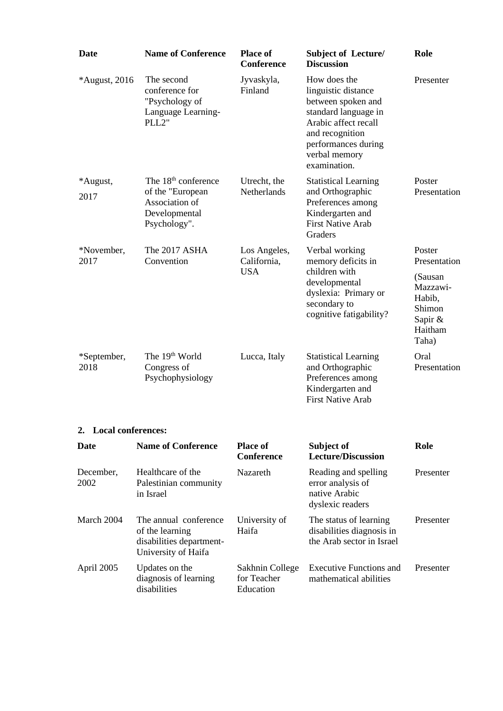| <b>Date</b>           | <b>Name of Conference</b>                                                                   | <b>Place of</b><br><b>Conference</b>        | <b>Subject of Lecture/</b><br><b>Discussion</b>                                                                                                                                      | Role                                                                   |
|-----------------------|---------------------------------------------------------------------------------------------|---------------------------------------------|--------------------------------------------------------------------------------------------------------------------------------------------------------------------------------------|------------------------------------------------------------------------|
| *August, 2016         | The second<br>conference for<br>"Psychology of<br>Language Learning-<br>PLL2"               | Jyvaskyla,<br>Finland                       | How does the<br>linguistic distance<br>between spoken and<br>standard language in<br>Arabic affect recall<br>and recognition<br>performances during<br>verbal memory<br>examination. | Presenter                                                              |
| *August,              | The $18th$ conference<br>of the "European                                                   | Utrecht, the<br>Netherlands                 | <b>Statistical Learning</b><br>and Orthographic                                                                                                                                      | Poster<br>Presentation                                                 |
| 2017                  | Association of<br>Developmental<br>Psychology".                                             |                                             | Preferences among<br>Kindergarten and<br><b>First Native Arab</b><br>Graders                                                                                                         |                                                                        |
| *November,<br>2017    | The 2017 ASHA<br>Convention                                                                 | Los Angeles,<br>California,                 | Verbal working<br>memory deficits in                                                                                                                                                 | Poster<br>Presentation                                                 |
|                       |                                                                                             | <b>USA</b>                                  | children with<br>developmental<br>dyslexia: Primary or<br>secondary to<br>cognitive fatigability?                                                                                    | (Sausan<br>Mazzawi-<br>Habib,<br>Shimon<br>Sapir &<br>Haitham<br>Taha) |
| *September,<br>2018   | The 19 <sup>th</sup> World<br>Congress of<br>Psychophysiology                               | Lucca, Italy                                | <b>Statistical Learning</b><br>and Orthographic<br>Preferences among<br>Kindergarten and<br><b>First Native Arab</b>                                                                 | Oral<br>Presentation                                                   |
| 2. Local conferences: |                                                                                             |                                             |                                                                                                                                                                                      |                                                                        |
| Date                  | <b>Name of Conference</b>                                                                   | <b>Place of</b><br><b>Conference</b>        | Subject of<br><b>Lecture/Discussion</b>                                                                                                                                              | Role                                                                   |
| December,<br>2002     | Healthcare of the<br>Palestinian community<br>in Israel                                     | Nazareth                                    | Reading and spelling<br>error analysis of<br>native Arabic<br>dyslexic readers                                                                                                       | Presenter                                                              |
| March 2004            | The annual conference<br>of the learning<br>disabilities department-<br>University of Haifa | University of<br>Haifa                      | The status of learning<br>disabilities diagnosis in<br>the Arab sector in Israel                                                                                                     | Presenter                                                              |
| April 2005            | Updates on the<br>diagnosis of learning<br>disabilities                                     | Sakhnin College<br>for Teacher<br>Education | <b>Executive Functions and</b><br>mathematical abilities                                                                                                                             | Presenter                                                              |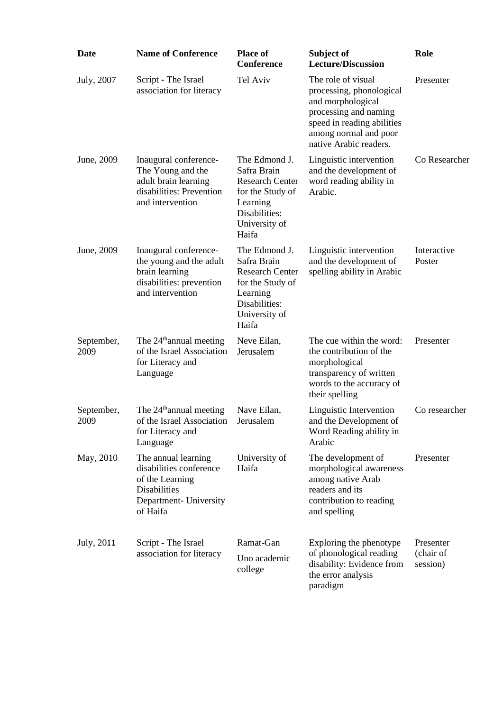| <b>Date</b>        | <b>Name of Conference</b>                                                                                                      | <b>Place of</b><br><b>Conference</b>                                                                                              | Subject of<br><b>Lecture/Discussion</b>                                                                                                                                       | Role                               |
|--------------------|--------------------------------------------------------------------------------------------------------------------------------|-----------------------------------------------------------------------------------------------------------------------------------|-------------------------------------------------------------------------------------------------------------------------------------------------------------------------------|------------------------------------|
| July, 2007         | Script - The Israel<br>association for literacy                                                                                | Tel Aviv                                                                                                                          | The role of visual<br>processing, phonological<br>and morphological<br>processing and naming<br>speed in reading abilities<br>among normal and poor<br>native Arabic readers. | Presenter                          |
| June, 2009         | Inaugural conference-<br>The Young and the<br>adult brain learning<br>disabilities: Prevention<br>and intervention             | The Edmond J.<br>Safra Brain<br><b>Research Center</b><br>for the Study of<br>Learning<br>Disabilities:<br>University of<br>Haifa | Linguistic intervention<br>and the development of<br>word reading ability in<br>Arabic.                                                                                       | Co Researcher                      |
| June, 2009         | Inaugural conference-<br>the young and the adult<br>brain learning<br>disabilities: prevention<br>and intervention             | The Edmond J.<br>Safra Brain<br><b>Research Center</b><br>for the Study of<br>Learning<br>Disabilities:<br>University of<br>Haifa | Linguistic intervention<br>and the development of<br>spelling ability in Arabic                                                                                               | Interactive<br>Poster              |
| September,<br>2009 | The 24 <sup>th</sup> annual meeting<br>of the Israel Association<br>for Literacy and<br>Language                               | Neve Eilan,<br>Jerusalem                                                                                                          | The cue within the word:<br>the contribution of the<br>morphological<br>transparency of written<br>words to the accuracy of<br>their spelling                                 | Presenter                          |
| September,<br>2009 | The 24 <sup>th</sup> annual meeting<br>of the Israel Association<br>for Literacy and<br>Language                               | Nave Eilan,<br>Jerusalem                                                                                                          | Linguistic Intervention<br>and the Development of<br>Word Reading ability in<br>Arabic                                                                                        | Co researcher                      |
| May, 2010          | The annual learning<br>disabilities conference<br>of the Learning<br><b>Disabilities</b><br>Department- University<br>of Haifa | University of<br>Haifa                                                                                                            | The development of<br>morphological awareness<br>among native Arab<br>readers and its<br>contribution to reading<br>and spelling                                              | Presenter                          |
| July, 2011         | Script - The Israel<br>association for literacy                                                                                | Ramat-Gan<br>Uno academic<br>college                                                                                              | Exploring the phenotype<br>of phonological reading<br>disability: Evidence from<br>the error analysis<br>paradigm                                                             | Presenter<br>(chair of<br>session) |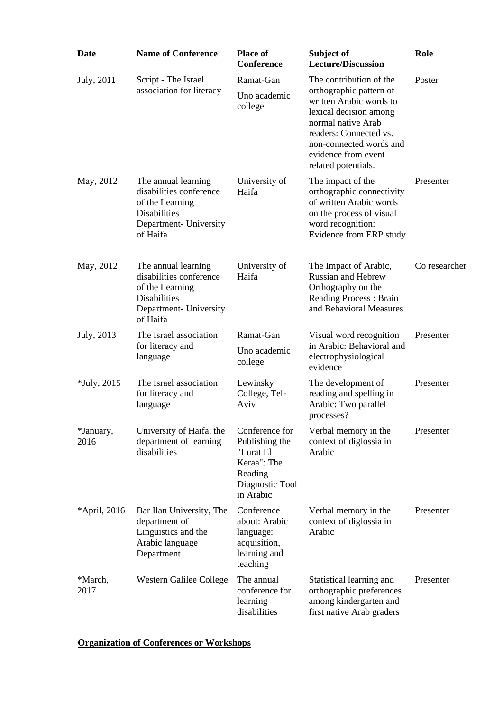| <b>Date</b>       | <b>Name of Conference</b>                                                                                                      | <b>Place of</b><br><b>Conference</b>                                                                    | Subject of<br><b>Lecture/Discussion</b>                                                                                                                                                               | Role          |
|-------------------|--------------------------------------------------------------------------------------------------------------------------------|---------------------------------------------------------------------------------------------------------|-------------------------------------------------------------------------------------------------------------------------------------------------------------------------------------------------------|---------------|
| July, 2011        | Script - The Israel                                                                                                            | Ramat-Gan                                                                                               | The contribution of the                                                                                                                                                                               | Poster        |
|                   | association for literacy                                                                                                       | Uno academic<br>college                                                                                 | orthographic pattern of<br>written Arabic words to<br>lexical decision among<br>normal native Arab<br>readers: Connected vs.<br>non-connected words and<br>evidence from event<br>related potentials. |               |
| May, 2012         | The annual learning<br>disabilities conference<br>of the Learning<br><b>Disabilities</b><br>Department- University<br>of Haifa | University of<br>Haifa                                                                                  | The impact of the<br>orthographic connectivity<br>of written Arabic words<br>on the process of visual<br>word recognition:<br>Evidence from ERP study                                                 | Presenter     |
| May, 2012         | The annual learning<br>disabilities conference<br>of the Learning<br><b>Disabilities</b><br>Department- University<br>of Haifa | University of<br>Haifa                                                                                  | The Impact of Arabic,<br><b>Russian and Hebrew</b><br>Orthography on the<br>Reading Process: Brain<br>and Behavioral Measures                                                                         | Co researcher |
| July, 2013        | The Israel association<br>for literacy and<br>language                                                                         | Ramat-Gan<br>Uno academic<br>college                                                                    | Visual word recognition<br>in Arabic: Behavioral and<br>electrophysiological<br>evidence                                                                                                              | Presenter     |
| $*$ July, 2015    | The Israel association<br>for literacy and<br>language                                                                         | Lewinsky<br>College, Tel-<br>Aviv                                                                       | The development of<br>reading and spelling in<br>Arabic: Two parallel<br>processes?                                                                                                                   | Presenter     |
| *January,<br>2016 | University of Haifa, the<br>department of learning<br>disabilities                                                             | Conference for<br>Publishing the<br>"Lurat El<br>Keraa": The<br>Reading<br>Diagnostic Tool<br>in Arabic | Verbal memory in the<br>context of diglossia in<br>Arabic                                                                                                                                             | Presenter     |
| *April, 2016      | Bar Ilan University, The<br>department of<br>Linguistics and the<br>Arabic language<br>Department                              | Conference<br>about: Arabic<br>language:<br>acquisition,<br>learning and<br>teaching                    | Verbal memory in the<br>context of diglossia in<br>Arabic                                                                                                                                             | Presenter     |
| *March,<br>2017   | Western Galilee College                                                                                                        | The annual<br>conference for<br>learning<br>disabilities                                                | Statistical learning and<br>orthographic preferences<br>among kindergarten and<br>first native Arab graders                                                                                           | Presenter     |

**Organization of Conferences or Workshops**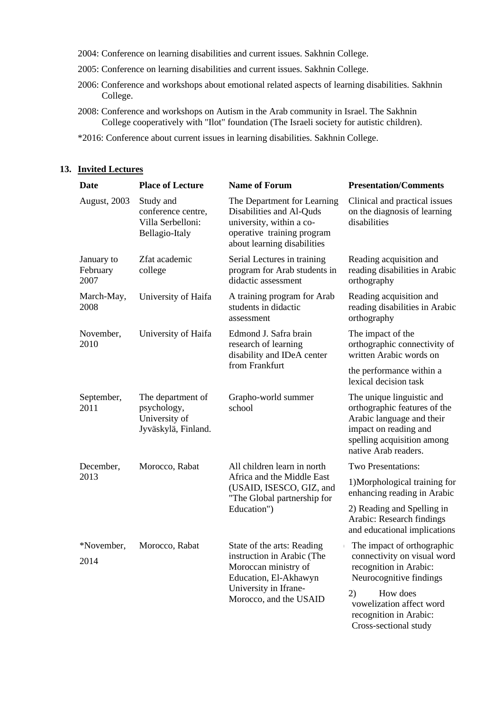- 2004: Conference on learning disabilities and current issues. Sakhnin College.
- 2005: Conference on learning disabilities and current issues. Sakhnin College.
- 2006: Conference and workshops about emotional related aspects of learning disabilities. Sakhnin College.
- 2008: Conference and workshops on Autism in the Arab community in Israel. The Sakhnin College cooperatively with "Ilot" foundation (The Israeli society for autistic children).
- \*2016: Conference about current issues in learning disabilities. Sakhnin College.

#### **Date Place of Lecture Name of Forum Presentation/Comments** Clinical and practical issues on the diagnosis of learning disabilities The Department for Learning Disabilities and Al-Quds university, within a cooperative training program about learning disabilities Study and conference centre, Villa Serbelloni: Bellagio-Italy August, 2003 Reading acquisition and reading disabilities in Arabic orthography Serial Lectures in training program for Arab students in didactic assessment Zfat academic college January to February 2007 Reading acquisition and reading disabilities in Arabic orthography A training program for Arab students in didactic assessment March-May, University of Haifa 2008 The impact of the orthographic connectivity of written Arabic words on the performance within a lexical decision task Edmond J. Safra brain research of learning disability and IDeA center from Frankfurt November, University of Haifa 2010 The unique linguistic and orthographic features of the Arabic language and their impact on reading and spelling acquisition among native Arab readers. Grapho-world summer school The department of psychology, University of Jyväskylä, Finland. September, 2011 Two Presentations: 1)Morphological training for enhancing reading in Arabic 2) Reading and Spelling in Arabic: Research findings and educational implications All children learn in north Africa and the Middle East (USAID, ISESCO, GIZ, and "The Global partnership for Education") December, Morocco, Rabat 2013 The impact of orthographic connectivity on visual word recognition in Arabic: Neurocognitive findings 2) How does vowelization affect word recognition in Arabic: State of the arts: Reading instruction in Arabic (The Moroccan ministry of Education, El-Akhawyn University in Ifrane-Morocco, and the USAID \*November, Morocco, Rabat 2014

Cross-sectional study

#### **13. Invited Lectures**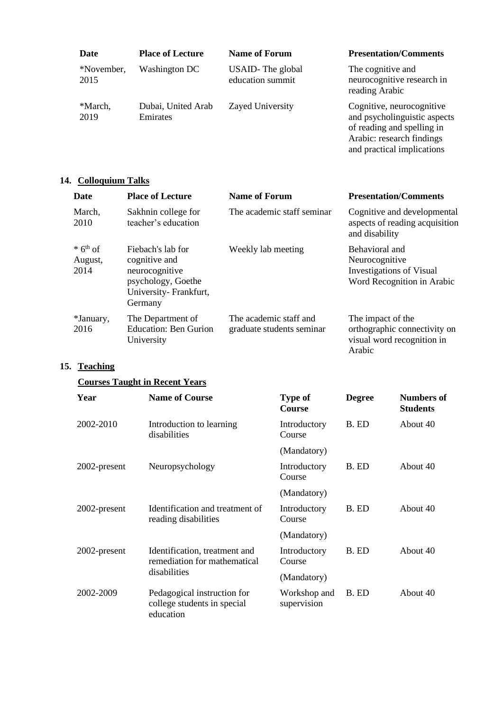| Date               | <b>Place of Lecture</b>        | <b>Name of Forum</b>                 | <b>Presentation/Comments</b>                                                            |
|--------------------|--------------------------------|--------------------------------------|-----------------------------------------------------------------------------------------|
| *November,<br>2015 | Washington DC                  | USAID-The global<br>education summit | The cognitive and<br>neurocognitive research in<br>reading Arabic                       |
| *March,<br>2019    | Dubai, United Arab<br>Emirates | Zayed University                     | Cognitive, neurocognitive<br>and psycholinguistic aspects<br>of reading and spelling in |

Arabic: research findings and practical implications

# **14. Colloquium Talks**

| <b>Date</b>                               | <b>Place of Lecture</b>                                                                                        | <b>Name of Forum</b>                                | <b>Presentation/Comments</b>                                                                      |
|-------------------------------------------|----------------------------------------------------------------------------------------------------------------|-----------------------------------------------------|---------------------------------------------------------------------------------------------------|
| March,<br>2010                            | Sakhnin college for<br>teacher's education                                                                     | The academic staff seminar                          | Cognitive and developmental<br>aspects of reading acquisition<br>and disability                   |
| $*$ 6 <sup>th</sup> of<br>August,<br>2014 | Fiebach's lab for<br>cognitive and<br>neurocognitive<br>psychology, Goethe<br>University-Frankfurt,<br>Germany | Weekly lab meeting                                  | Behavioral and<br>Neurocognitive<br><b>Investigations of Visual</b><br>Word Recognition in Arabic |
| *January,<br>2016                         | The Department of<br><b>Education: Ben Gurion</b><br>University                                                | The academic staff and<br>graduate students seminar | The impact of the<br>orthographic connectivity on<br>visual word recognition in<br>Arabic         |

# **15. Teaching**

# **Courses Taught in Recent Years**

| Year         | <b>Name of Course</b>                                                   | <b>Type of</b><br>Course    | <b>Degree</b> | <b>Numbers of</b><br><b>Students</b> |
|--------------|-------------------------------------------------------------------------|-----------------------------|---------------|--------------------------------------|
| 2002-2010    | Introduction to learning<br>disabilities                                | Introductory<br>Course      | B. ED         | About 40                             |
|              |                                                                         | (Mandatory)                 |               |                                      |
| 2002-present | Neuropsychology                                                         | Introductory<br>Course      | B. ED         | About 40                             |
|              |                                                                         | (Mandatory)                 |               |                                      |
| 2002-present | Identification and treatment of<br>reading disabilities                 | Introductory<br>Course      | B. ED         | About 40                             |
|              |                                                                         | (Mandatory)                 |               |                                      |
| 2002-present | Identification, treatment and<br>remediation for mathematical           | Introductory<br>Course      | B. ED         | About 40                             |
|              | disabilities                                                            | (Mandatory)                 |               |                                      |
| 2002-2009    | Pedagogical instruction for<br>college students in special<br>education | Workshop and<br>supervision | B. ED         | About 40                             |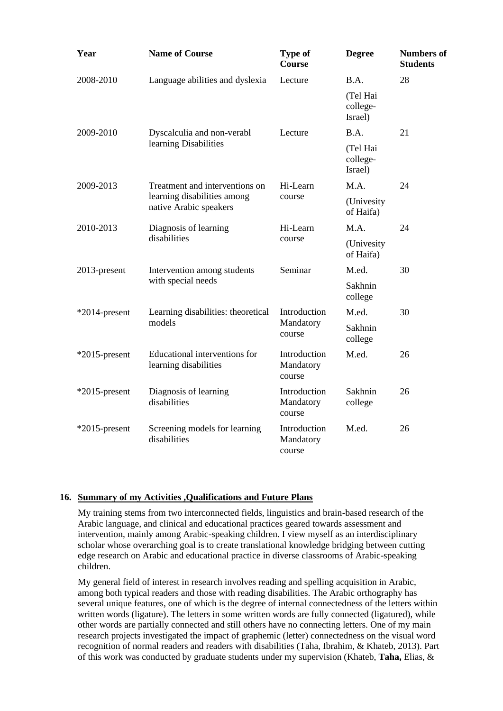| Year             | <b>Name of Course</b>                                  | Type of<br><b>Course</b>            | <b>Degree</b>                   | <b>Numbers of</b><br><b>Students</b> |
|------------------|--------------------------------------------------------|-------------------------------------|---------------------------------|--------------------------------------|
| 2008-2010        | Language abilities and dyslexia                        | Lecture                             | B.A.                            | 28                                   |
|                  |                                                        |                                     | (Tel Hai<br>college-<br>Israel) |                                      |
| 2009-2010        | Dyscalculia and non-verabl                             | Lecture                             | B.A.                            | 21                                   |
|                  | learning Disabilities                                  |                                     | (Tel Hai<br>college-<br>Israel) |                                      |
| 2009-2013        | Treatment and interventions on                         | Hi-Learn                            | M.A.                            | 24                                   |
|                  | learning disabilities among<br>native Arabic speakers  | course                              | (Univesity<br>of Haifa)         |                                      |
| 2010-2013        | Diagnosis of learning                                  | Hi-Learn                            | M.A.                            | 24                                   |
|                  | disabilities                                           | course                              | (Univesity<br>of Haifa)         |                                      |
| 2013-present     | Intervention among students                            | Seminar                             | M.ed.                           | 30                                   |
|                  | with special needs                                     |                                     | Sakhnin<br>college              |                                      |
| $*2014$ -present | Learning disabilities: theoretical                     | Introduction                        | M.ed.                           | 30                                   |
|                  | models                                                 | Mandatory<br>course                 | Sakhnin<br>college              |                                      |
| $*2015$ -present | Educational interventions for<br>learning disabilities | Introduction<br>Mandatory<br>course | M.ed.                           | 26                                   |
| $*2015$ -present | Diagnosis of learning<br>disabilities                  | Introduction<br>Mandatory<br>course | Sakhnin<br>college              | 26                                   |
| $*2015$ -present | Screening models for learning<br>disabilities          | Introduction<br>Mandatory<br>course | M.ed.                           | 26                                   |

#### **16. Summary of my Activities ,Qualifications and Future Plans**

My training stems from two interconnected fields, linguistics and brain-based research of the Arabic language, and clinical and educational practices geared towards assessment and intervention, mainly among Arabic-speaking children. I view myself as an interdisciplinary scholar whose overarching goal is to create translational knowledge bridging between cutting edge research on Arabic and educational practice in diverse classrooms of Arabic-speaking children.

My general field of interest in research involves reading and spelling acquisition in Arabic, among both typical readers and those with reading disabilities. The Arabic orthography has several unique features, one of which is the degree of internal connectedness of the letters within written words (ligature). The letters in some written words are fully connected (ligatured), while other words are partially connected and still others have no connecting letters. One of my main research projects investigated the impact of graphemic (letter) connectedness on the visual word recognition of normal readers and readers with disabilities (Taha, Ibrahim, & Khateb, 2013). Part of this work was conducted by graduate students under my supervision (Khateb, **Taha,** Elias, &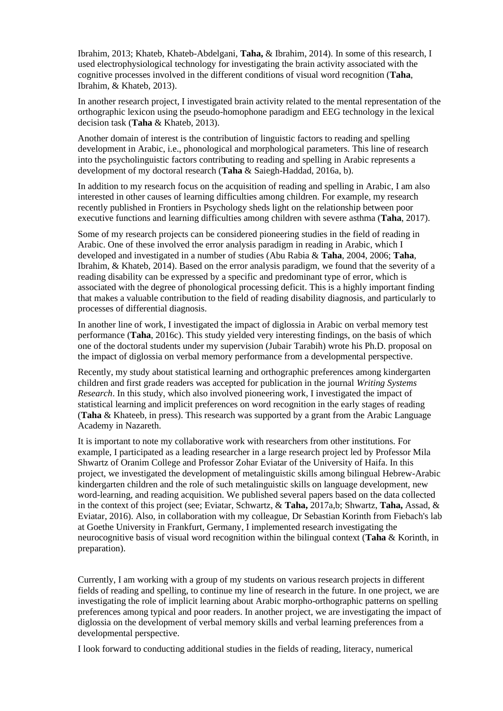Ibrahim, 2013; Khateb, Khateb-Abdelgani, **Taha,** & Ibrahim, 2014). In some of this research, I used electrophysiological technology for investigating the brain activity associated with the cognitive processes involved in the different conditions of visual word recognition (**Taha**, Ibrahim, & Khateb, 2013).

In another research project, I investigated brain activity related to the mental representation of the orthographic lexicon using the pseudo-homophone paradigm and EEG technology in the lexical decision task (**Taha** & Khateb, 2013).

Another domain of interest is the contribution of linguistic factors to reading and spelling development in Arabic, i.e., phonological and morphological parameters. This line of research into the psycholinguistic factors contributing to reading and spelling in Arabic represents a development of my doctoral research (**Taha** & Saiegh-Haddad, 2016a, b).

In addition to my research focus on the acquisition of reading and spelling in Arabic, I am also interested in other causes of learning difficulties among children. For example, my research recently published in Frontiers in Psychology sheds light on the relationship between poor executive functions and learning difficulties among children with severe asthma (**Taha**, 2017).

Some of my research projects can be considered pioneering studies in the field of reading in Arabic. One of these involved the error analysis paradigm in reading in Arabic, which I developed and investigated in a number of studies (Abu Rabia & **Taha**, 2004, 2006; **Taha**, Ibrahim, & Khateb, 2014). Based on the error analysis paradigm, we found that the severity of a reading disability can be expressed by a specific and predominant type of error, which is associated with the degree of phonological processing deficit. This is a highly important finding that makes a valuable contribution to the field of reading disability diagnosis, and particularly to processes of differential diagnosis.

In another line of work, I investigated the impact of diglossia in Arabic on verbal memory test performance (**Taha**, 2016c). This study yielded very interesting findings, on the basis of which one of the doctoral students under my supervision (Jubair Tarabih) wrote his Ph.D. proposal on the impact of diglossia on verbal memory performance from a developmental perspective.

Recently, my study about statistical learning and orthographic preferences among kindergarten children and first grade readers was accepted for publication in the journal *Writing Systems Research*. In this study, which also involved pioneering work, I investigated the impact of statistical learning and implicit preferences on word recognition in the early stages of reading (**Taha** & Khateeb, in press). This research was supported by a grant from the Arabic Language Academy in Nazareth.

It is important to note my collaborative work with researchers from other institutions. For example, I participated as a leading researcher in a large research project led by Professor Mila Shwartz of Oranim College and Professor Zohar Eviatar of the University of Haifa. In this project, we investigated the development of metalinguistic skills among bilingual Hebrew-Arabic kindergarten children and the role of such metalinguistic skills on language development, new word-learning, and reading acquisition. We published several papers based on the data collected in the context of this project (see; Eviatar, Schwartz, & **Taha,** 2017a,b; Shwartz, **Taha,** Assad, & Eviatar, 2016). Also, in collaboration with my colleague, Dr Sebastian Korinth from Fiebach's lab at Goethe University in Frankfurt, Germany, I implemented research investigating the neurocognitive basis of visual word recognition within the bilingual context (**Taha** & Korinth, in preparation).

Currently, I am working with a group of my students on various research projects in different fields of reading and spelling, to continue my line of research in the future. In one project, we are investigating the role of implicit learning about Arabic morpho-orthographic patterns on spelling preferences among typical and poor readers. In another project, we are investigating the impact of diglossia on the development of verbal memory skills and verbal learning preferences from a developmental perspective.

I look forward to conducting additional studies in the fields of reading, literacy, numerical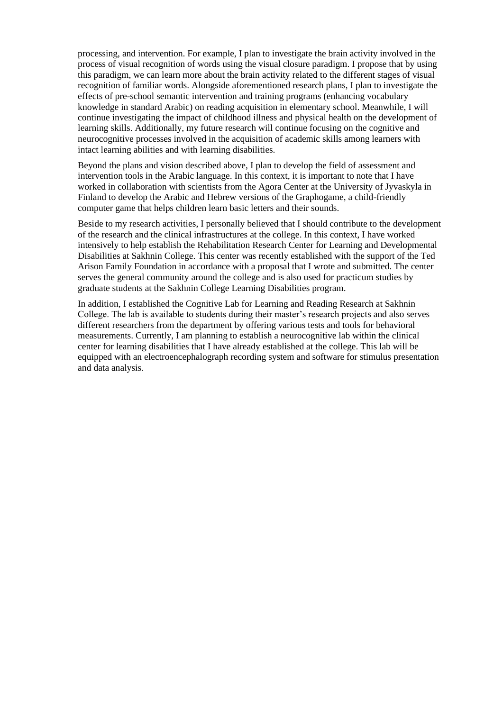processing, and intervention. For example, I plan to investigate the brain activity involved in the process of visual recognition of words using the visual closure paradigm. I propose that by using this paradigm, we can learn more about the brain activity related to the different stages of visual recognition of familiar words. Alongside aforementioned research plans, I plan to investigate the effects of pre-school semantic intervention and training programs (enhancing vocabulary knowledge in standard Arabic) on reading acquisition in elementary school. Meanwhile, I will continue investigating the impact of childhood illness and physical health on the development of learning skills. Additionally, my future research will continue focusing on the cognitive and neurocognitive processes involved in the acquisition of academic skills among learners with intact learning abilities and with learning disabilities.

Beyond the plans and vision described above, I plan to develop the field of assessment and intervention tools in the Arabic language. In this context, it is important to note that I have worked in collaboration with scientists from the Agora Center at the University of Jyvaskyla in Finland to develop the Arabic and Hebrew versions of the Graphogame, a child-friendly computer game that helps children learn basic letters and their sounds.

Beside to my research activities, I personally believed that I should contribute to the development of the research and the clinical infrastructures at the college. In this context, I have worked intensively to help establish the Rehabilitation Research Center for Learning and Developmental Disabilities at Sakhnin College. This center was recently established with the support of the Ted Arison Family Foundation in accordance with a proposal that I wrote and submitted. The center serves the general community around the college and is also used for practicum studies by graduate students at the Sakhnin College Learning Disabilities program.

In addition, I established the Cognitive Lab for Learning and Reading Research at Sakhnin College. The lab is available to students during their master's research projects and also serves different researchers from the department by offering various tests and tools for behavioral measurements. Currently, I am planning to establish a neurocognitive lab within the clinical center for learning disabilities that I have already established at the college. This lab will be equipped with an electroencephalograph recording system and software for stimulus presentation and data analysis.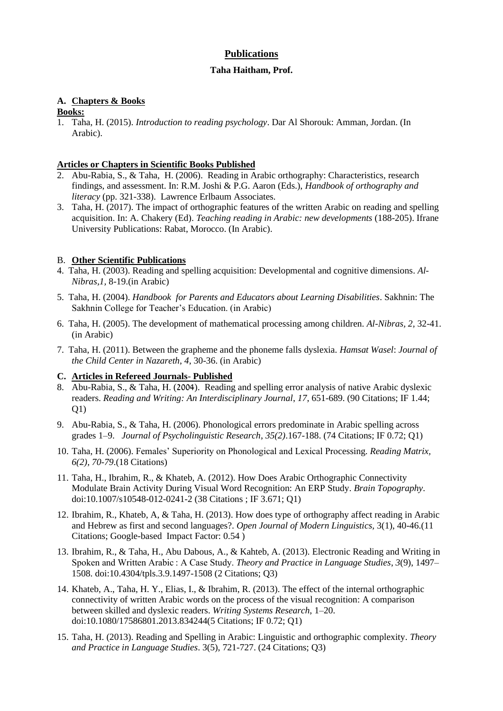# **Publications**

# **Taha Haitham, Prof.**

# **A. Chapters & Books**

# **Books:**

1. Taha, H. (2015). *Introduction to reading psychology*. Dar Al Shorouk: Amman, Jordan. (In Arabic).

# **Articles or Chapters in Scientific Books Published**

- 2. Abu-Rabia, S., & Taha, H. (2006). Reading in Arabic orthography: Characteristics, research findings, and assessment. In: R.M. Joshi & P.G. Aaron (Eds.), *Handbook of orthography and literacy* (pp. 321-338). Lawrence Erlbaum Associates.
- 3. Taha, H. (2017). The impact of orthographic features of the written Arabic on reading and spelling acquisition. In: A. Chakery (Ed). *Teaching reading in Arabic: new developments* (188-205). Ifrane University Publications: Rabat, Morocco. (In Arabic).

# B. **Other Scientific Publications**

- 4. Taha, H. (2003). Reading and spelling acquisition: Developmental and cognitive dimensions. *Al-Nibras,1,* 8-19.(in Arabic)
- 5. Taha, H. (2004). *Handbook for Parents and Educators about Learning Disabilities*. Sakhnin: The Sakhnin College for Teacher's Education. (in Arabic)
- 6. Taha, H. (2005). The development of mathematical processing among children. *Al-Nibras, 2,* 32-41. (in Arabic)
- 7. Taha, H. (2011). Between the grapheme and the phoneme falls dyslexia. *Hamsat Wasel*: *Journal of the Child Center in Nazareth*, *4*, 30-36. (in Arabic)

# **C. Articles in Refereed Journals**- **Published**

- 8. Abu-Rabia, S., & Taha, H. (2004). Reading and spelling error analysis of native Arabic dyslexic readers. *Reading and Writing: An Interdisciplinary Journal*, *17*, 651-689. (90 Citations; IF 1.44; Q1)
- 9. Abu-Rabia, S., & Taha, H. (2006). Phonological errors predominate in Arabic spelling across grades 1–9. *Journal of Psycholinguistic Research*, *35(2)*.167-188. (74 Citations; IF 0.72; Q1)
- 10. Taha, H. (2006). Females' Superiority on Phonological and Lexical Processing*. Reading Matrix, 6(2), 70-79*.(18 Citations)
- 11. Taha, H., Ibrahim, R., & Khateb, A. (2012). How Does Arabic Orthographic Connectivity Modulate Brain Activity During Visual Word Recognition: An ERP Study. *Brain Topography*. doi:10.1007/s10548-012-0241-2 (38 Citations ; IF 3.671; Q1)
- 12. Ibrahim, R., Khateb, A, & Taha, H. (2013). How does type of orthography affect reading in Arabic and Hebrew as first and second languages?. *Open Journal of Modern Linguistics,* 3(1), 40-46.(11 Citations; Google-based Impact Factor: 0.54 )
- 13. Ibrahim, R., & Taha, H., Abu Dabous, A., & Kahteb, A. (2013). Electronic Reading and Writing in Spoken and Written Arabic : A Case Study. *Theory and Practice in Language Studies*, *3*(9), 1497– 1508. doi:10.4304/tpls.3.9.1497-1508 (2 Citations; Q3)
- 14. Khateb, A., Taha, H. Y., Elias, I., & Ibrahim, R. (2013). The effect of the internal orthographic connectivity of written Arabic words on the process of the visual recognition: A comparison between skilled and dyslexic readers. *Writing Systems Research*, 1–20. doi:10.1080/17586801.2013.834244(5 Citations; IF 0.72; Q1)
- 15. Taha, H. (2013). Reading and Spelling in Arabic: Linguistic and orthographic complexity. *Theory and Practice in Language Studies*. 3(5), 721-727. (24 Citations; Q3)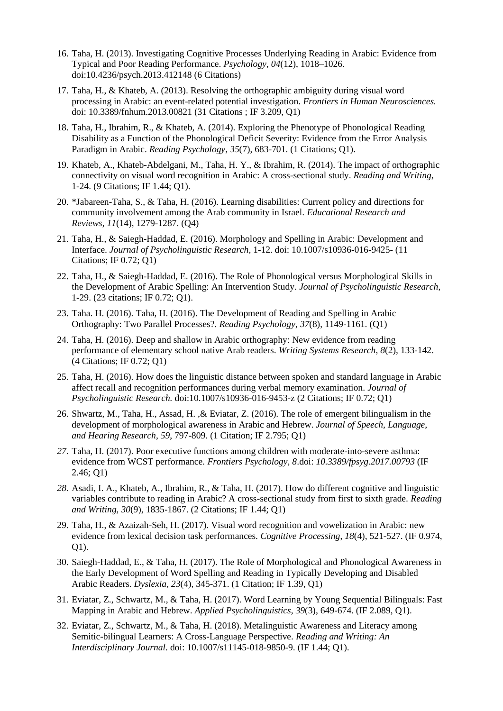- 16. Taha, H. (2013). Investigating Cognitive Processes Underlying Reading in Arabic: Evidence from Typical and Poor Reading Performance. *Psychology*, *04*(12), 1018–1026. doi:10.4236/psych.2013.412148 (6 Citations)
- 17. Taha, H., & Khateb, A. (2013). Resolving the orthographic ambiguity during visual word processing in Arabic: an event-related potential investigation. *Frontiers in Human Neurosciences.* doi: 10.3389/fnhum.2013.00821 (31 Citations ; IF 3.209, Q1)
- 18. Taha, H., Ibrahim, R., & Khateb, A. (2014). Exploring the Phenotype of Phonological Reading Disability as a Function of the Phonological Deficit Severity: Evidence from the Error Analysis Paradigm in Arabic. *Reading Psychology*, *35*(7), 683-701. (1 Citations; Q1).
- 19. Khateb, A., Khateb-Abdelgani, M., Taha, H. Y., & Ibrahim, R. (2014). The impact of orthographic connectivity on visual word recognition in Arabic: A cross-sectional study. *Reading and Writing*, 1-24. (9 Citations; IF 1.44; Q1).
- 20. \*Jabareen-Taha, S., & Taha, H. (2016). Learning disabilities: Current policy and directions for community involvement among the Arab community in Israel. *Educational Research and Reviews*, *11*(14), 1279-1287. (Q4)
- 21. Taha, H., & Saiegh-Haddad, E. (2016). Morphology and Spelling in Arabic: Development and Interface. *Journal of Psycholinguistic Research*, 1-12. doi: 10.1007/s10936-016-9425- (11 Citations; IF 0.72; Q1)
- 22. Taha, H., & Saiegh-Haddad, E. (2016). The Role of Phonological versus Morphological Skills in the Development of Arabic Spelling: An Intervention Study. *Journal of Psycholinguistic Research*, 1-29. (23 citations; IF 0.72; Q1).
- 23. Taha. H. (2016). Taha, H. (2016). The Development of Reading and Spelling in Arabic Orthography: Two Parallel Processes?. *Reading Psychology*, *37*(8), 1149-1161*.* (Q1)
- 24. Taha, H. (2016). Deep and shallow in Arabic orthography: New evidence from reading performance of elementary school native Arab readers. *Writing Systems Research*, *8*(2), 133-142. (4 Citations; IF 0.72; Q1)
- 25. Taha, H. (2016). How does the linguistic distance between spoken and standard language in Arabic affect recall and recognition performances during verbal memory examination. *Journal of Psycholinguistic Research.* doi:10.1007/s10936-016-9453-z (2 Citations; IF 0.72; Q1)
- 26. Shwartz, M., Taha, H., Assad, H. ,& Eviatar, Z. (2016). The role of emergent bilingualism in the development of morphological awareness in Arabic and Hebrew. *Journal of Speech, Language, and Hearing Research*, *59*, 797-809. (1 Citation; IF 2.795; Q1)
- *27.* Taha, H. (2017). Poor executive functions among children with moderate-into-severe asthma: evidence from WCST performance*. Frontiers Psychology, 8*.doi: *10.3389/fpsyg.2017.00793* (IF 2.46; Q1)
- *28.* Asadi, I. A., Khateb, A., Ibrahim, R., & Taha, H. (2017). How do different cognitive and linguistic variables contribute to reading in Arabic? A cross-sectional study from first to sixth grade. *Reading and Writing*, *30*(9), 1835-1867. (2 Citations; IF 1.44; Q1)
- 29. Taha, H., & Azaizah-Seh, H. (2017). Visual word recognition and vowelization in Arabic: new evidence from lexical decision task performances. *Cognitive Processing*, *18*(4), 521-527. (IF 0.974, Q1).
- 30. Saiegh-Haddad, E., & Taha, H. (2017). The Role of Morphological and Phonological Awareness in the Early Development of Word Spelling and Reading in Typically Developing and Disabled Arabic Readers. *Dyslexia*, *23*(4), 345-371. (1 Citation; IF 1.39, Q1)
- 31. Eviatar, Z., Schwartz, M., & Taha, H. (2017). Word Learning by Young Sequential Bilinguals: Fast Mapping in Arabic and Hebrew. *Applied Psycholinguistics*, *39*(3), 649-674. (IF 2.089, Q1).
- 32. Eviatar, Z., Schwartz, M., & Taha, H. (2018). Metalinguistic Awareness and Literacy among Semitic-bilingual Learners: A Cross-Language Perspective. *Reading and Writing: An Interdisciplinary Journal*. doi: 10.1007/s11145-018-9850-9. (IF 1.44; Q1).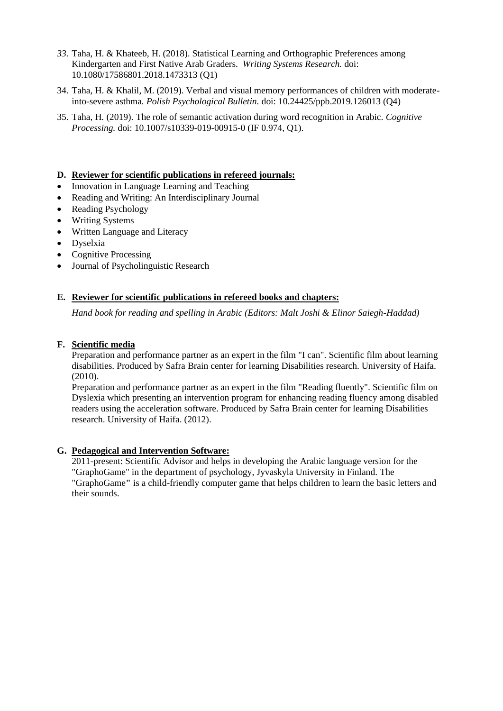- *33.* Taha, H. & Khateeb, H. (2018). Statistical Learning and Orthographic Preferences among Kindergarten and First Native Arab Graders. *Writing Systems Research.* doi: 10.1080/17586801.2018.1473313 (Q1)
- 34. Taha, H. & Khalil, M. (2019). Verbal and visual memory performances of children with moderateinto-severe asthma*. Polish Psychological Bulletin.* doi: 10.24425/ppb.2019.126013 (Q4)
- 35. Taha, H*.* (2019). The role of semantic activation during word recognition in Arabic*. Cognitive Processing.* doi: 10.1007/s10339-019-00915-0 (IF 0.974, Q1).

### **D. Reviewer for scientific publications in refereed journals:**

- Innovation in Language Learning and Teaching
- Reading and Writing: An Interdisciplinary Journal
- Reading Psychology
- Writing Systems
- Written Language and Literacy
- Dyselxia
- Cognitive Processing
- Journal of Psycholinguistic Research

#### **E. Reviewer for scientific publications in refereed books and chapters:**

*Hand book for reading and spelling in Arabic (Editors: Malt Joshi & Elinor Saiegh-Haddad)*

#### **F. Scientific media**

Preparation and performance partner as an expert in the film "I can". Scientific film about learning disabilities. Produced by Safra Brain center for learning Disabilities research. University of Haifa. (2010).

Preparation and performance partner as an expert in the film "Reading fluently". Scientific film on Dyslexia which presenting an intervention program for enhancing reading fluency among disabled readers using the acceleration software. Produced by Safra Brain center for learning Disabilities research. University of Haifa. (2012).

#### **G. Pedagogical and Intervention Software:**

2011-present: Scientific Advisor and helps in developing the Arabic language version for the "GraphoGame" in the department of psychology, Jyvaskyla University in Finland. The "GraphoGame**"** is a child-friendly computer game that helps children to learn the basic letters and their sounds.